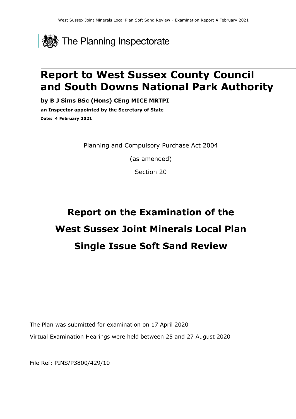

# **Report to West Sussex County Council and South Downs National Park Authority**

**by B J Sims BSc (Hons) CEng MICE MRTPI**

**an Inspector appointed by the Secretary of State Date: 4 February 2021**

Planning and Compulsory Purchase Act 2004

(as amended)

Section 20

# **Report on the Examination of the West Sussex Joint Minerals Local Plan Single Issue Soft Sand Review**

The Plan was submitted for examination on 17 April 2020 Virtual Examination Hearings were held between 25 and 27 August 2020

File Ref: PINS/P3800/429/10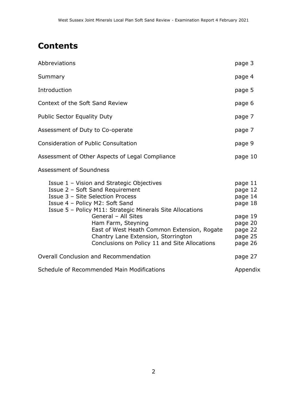# **Contents**

| Abbreviations                                                                                                                                                                                                                                                                                                                                                                                       | page 3                                                                                          |
|-----------------------------------------------------------------------------------------------------------------------------------------------------------------------------------------------------------------------------------------------------------------------------------------------------------------------------------------------------------------------------------------------------|-------------------------------------------------------------------------------------------------|
| Summary                                                                                                                                                                                                                                                                                                                                                                                             | page 4                                                                                          |
| Introduction                                                                                                                                                                                                                                                                                                                                                                                        | page 5                                                                                          |
| Context of the Soft Sand Review                                                                                                                                                                                                                                                                                                                                                                     | page 6                                                                                          |
| Public Sector Equality Duty                                                                                                                                                                                                                                                                                                                                                                         | page 7                                                                                          |
| Assessment of Duty to Co-operate                                                                                                                                                                                                                                                                                                                                                                    | page 7                                                                                          |
| <b>Consideration of Public Consultation</b>                                                                                                                                                                                                                                                                                                                                                         | page 9                                                                                          |
| Assessment of Other Aspects of Legal Compliance                                                                                                                                                                                                                                                                                                                                                     | page 10                                                                                         |
| Assessment of Soundness                                                                                                                                                                                                                                                                                                                                                                             |                                                                                                 |
| Issue 1 - Vision and Strategic Objectives<br>Issue 2 - Soft Sand Requirement<br>Issue 3 - Site Selection Process<br>Issue 4 - Policy M2: Soft Sand<br>Issue 5 - Policy M11: Strategic Minerals Site Allocations<br>General - All Sites<br>Ham Farm, Steyning<br>East of West Heath Common Extension, Rogate<br>Chantry Lane Extension, Storrington<br>Conclusions on Policy 11 and Site Allocations | page 11<br>page 12<br>page 14<br>page 18<br>page 19<br>page 20<br>page 22<br>page 25<br>page 26 |
| <b>Overall Conclusion and Recommendation</b>                                                                                                                                                                                                                                                                                                                                                        |                                                                                                 |
| Schedule of Recommended Main Modifications                                                                                                                                                                                                                                                                                                                                                          |                                                                                                 |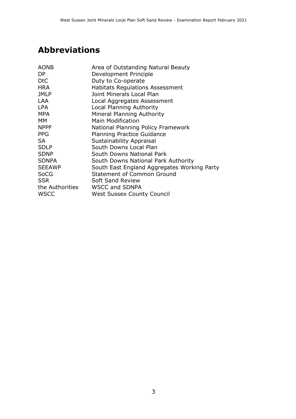# **Abbreviations**

| <b>AONB</b>     | Area of Outstanding Natural Beauty          |
|-----------------|---------------------------------------------|
| DP.             | Development Principle                       |
| <b>DtC</b>      | Duty to Co-operate                          |
| <b>HRA</b>      | <b>Habitats Regulations Assessment</b>      |
| <b>JMLP</b>     | Joint Minerals Local Plan                   |
| <b>LAA</b>      | Local Aggregates Assessment                 |
| <b>LPA</b>      | Local Planning Authority                    |
| <b>MPA</b>      | Mineral Planning Authority                  |
| <b>MM</b>       | <b>Main Modification</b>                    |
| <b>NPPF</b>     | National Planning Policy Framework          |
| <b>PPG</b>      | <b>Planning Practice Guidance</b>           |
| <b>SA</b>       | <b>Sustainability Appraisal</b>             |
| <b>SDLP</b>     | South Downs Local Plan                      |
| <b>SDNP</b>     | South Downs National Park                   |
| <b>SDNPA</b>    | South Downs National Park Authority         |
| <b>SEEAWP</b>   | South East England Aggregates Working Party |
| <b>SoCG</b>     | <b>Statement of Common Ground</b>           |
| <b>SSR</b>      | <b>Soft Sand Review</b>                     |
| the Authorities | <b>WSCC and SDNPA</b>                       |
| <b>WSCC</b>     | <b>West Sussex County Council</b>           |
|                 |                                             |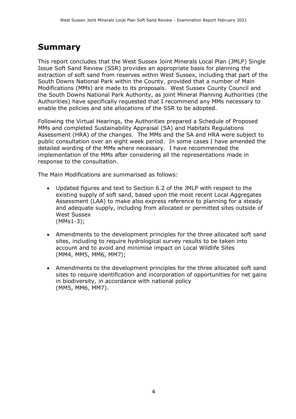### **Summary**

This report concludes that the West Sussex Joint Minerals Local Plan (JMLP) Single Issue Soft Sand Review (SSR) provides an appropriate basis for planning the extraction of soft sand from reserves within West Sussex, including that part of the South Downs National Park within the County, provided that a number of Main Modifications (MMs) are made to its proposals. West Sussex County Council and the South Downs National Park Authority, as joint Mineral Planning Authorities (the Authorities) have specifically requested that I recommend any MMs necessary to enable the policies and site allocations of the SSR to be adopted.

Following the Virtual Hearings, the Authorities prepared a Schedule of Proposed MMs and completed Sustainability Appraisal (SA) and Habitats Regulations Assessment (HRA) of the changes. The MMs and the SA and HRA were subject to public consultation over an eight week period. In some cases I have amended the detailed wording of the MMs where necessary. I have recommended the implementation of the MMs after considering all the representations made in response to the consultation.

The Main Modifications are summarised as follows:

- Updated figures and text to Section 6.2 of the JMLP with respect to the existing supply of soft sand, based upon the most recent Local Aggregates Assessment (LAA) to make also express reference to planning for a steady and adequate supply, including from allocated or permitted sites outside of West Sussex (MMs1-3);
- Amendments to the development principles for the three allocated soft sand sites, including to require hydrological survey results to be taken into account and to avoid and minimise impact on Local Wildlife Sites (MM4, MM5, MM6, MM7);
- Amendments to the development principles for the three allocated soft sand sites to require identification and incorporation of opportunities for net gains in biodiversity, in accordance with national policy (MM5, MM6, MM7).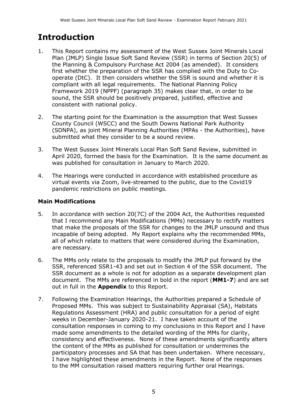# **Introduction**

- 1. This Report contains my assessment of the West Sussex Joint Minerals Local Plan (JMLP) Single Issue Soft Sand Review (SSR) in terms of Section 20(5) of the Planning & Compulsory Purchase Act 2004 (as amended). It considers first whether the preparation of the SSR has complied with the Duty to Cooperate (DtC). It then considers whether the SSR is sound and whether it is compliant with all legal requirements. The National Planning Policy Framework 2019 (NPPF) (paragraph 35) makes clear that, in order to be sound, the SSR should be positively prepared, justified, effective and consistent with national policy.
- 2. The starting point for the Examination is the assumption that West Sussex County Council (WSCC) and the South Downs National Park Authority (SDNPA), as joint Mineral Planning Authorities (MPAs - the Authorities), have submitted what they consider to be a sound review.
- 3. The West Sussex Joint Minerals Local Plan Soft Sand Review, submitted in April 2020, formed the basis for the Examination. It is the same document as was published for consultation in January to March 2020*.*
- 4. The Hearings were conducted in accordance with established procedure as virtual events via Zoom, live-streamed to the public, due to the Covid19 pandemic restrictions on public meetings.

#### **Main Modifications**

- 5. In accordance with section 20(7C) of the 2004 Act, the Authorities requested that I recommend any Main Modifications (MMs) necessary to rectify matters that make the proposals of the SSR for changes to the JMLP unsound and thus incapable of being adopted. My Report explains why the recommended MMs, all of which relate to matters that were considered during the Examination, are necessary.
- 6. The MMs only relate to the proposals to modify the JMLP put forward by the SSR, referenced SSR1-43 and set out in Section 4 of the SSR document. The SSR document as a whole is not for adoption as a separate development plan document. The MMs are referenced in bold in the report (**MM1-7**) and are set out in full in the **Appendix** to this Report.
- 7. Following the Examination Hearings, the Authorities prepared a Schedule of Proposed MMs. This was subject to Sustainability Appraisal (SA), Habitats Regulations Assessment (HRA) and public consultation for a period of eight weeks in December-January 2020-21. I have taken account of the consultation responses in coming to my conclusions in this Report and I have made some amendments to the detailed wording of the MMs for clarity, consistency and effectiveness. None of these amendments significantly alters the content of the MMs as published for consultation or undermines the participatory processes and SA that has been undertaken. Where necessary, I have highlighted these amendments in the Report. None of the responses to the MM consultation raised matters requiring further oral Hearings.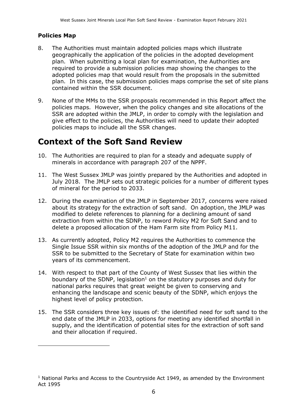#### **Policies Map**

- 8. The Authorities must maintain adopted policies maps which illustrate geographically the application of the policies in the adopted development plan. When submitting a local plan for examination, the Authorities are required to provide a submission policies map showing the changes to the adopted policies map that would result from the proposals in the submitted plan. In this case, the submission policies maps comprise the set of site plans contained within the SSR document.
- 9. None of the MMs to the SSR proposals recommended in this Report affect the policies maps. However, when the policy changes and site allocations of the SSR are adopted within the JMLP, in order to comply with the legislation and give effect to the policies, the Authorities will need to update their adopted policies maps to include all the SSR changes.

# **Context of the Soft Sand Review**

- 10. The Authorities are required to plan for a steady and adequate supply of minerals in accordance with paragraph 207 of the NPPF.
- 11. The West Sussex JMLP was jointly prepared by the Authorities and adopted in July 2018. The JMLP sets out strategic policies for a number of different types of mineral for the period to 2033.
- 12. During the examination of the JMLP in September 2017, concerns were raised about its strategy for the extraction of soft sand. On adoption, the JMLP was modified to delete references to planning for a declining amount of sand extraction from within the SDNP, to reword Policy M2 for Soft Sand and to delete a proposed allocation of the Ham Farm site from Policy M11.
- 13. As currently adopted, Policy M2 requires the Authorities to commence the Single Issue SSR within six months of the adoption of the JMLP and for the SSR to be submitted to the Secretary of State for examination within two years of its commencement.
- 14. With respect to that part of the County of West Sussex that lies within the boundary of the SDNP, legislation<sup>1</sup> on the statutory purposes and duty for national parks requires that great weight be given to conserving and enhancing the landscape and scenic beauty of the SDNP, which enjoys the highest level of policy protection.
- 15. The SSR considers three key issues of: the identified need for soft sand to the end date of the JMLP in 2033, options for meeting any identified shortfall in supply, and the identification of potential sites for the extraction of soft sand and their allocation if required.

 $1$  National Parks and Access to the Countryside Act 1949, as amended by the Environment Act 1995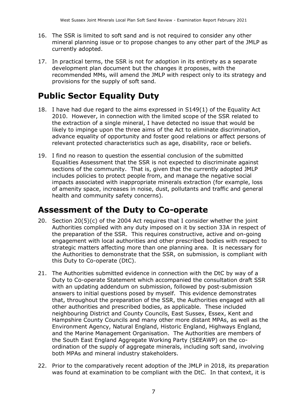- 16. The SSR is limited to soft sand and is not required to consider any other mineral planning issue or to propose changes to any other part of the JMLP as currently adopted.
- 17. In practical terms, the SSR is not for adoption in its entirety as a separate development plan document but the changes it proposes, with the recommended MMs, will amend the JMLP with respect only to its strategy and provisions for the supply of soft sand.

# **Public Sector Equality Duty**

- 18. I have had due regard to the aims expressed in S149(1) of the Equality Act 2010. However, in connection with the limited scope of the SSR related to the extraction of a single mineral, I have detected no issue that would be likely to impinge upon the three aims of the Act to eliminate discrimination, advance equality of opportunity and foster good relations or affect persons of relevant protected characteristics such as age, disability, race or beliefs.
- 19. I find no reason to question the essential conclusion of the submitted Equalities Assessment that the SSR is not expected to discriminate against sections of the community. That is, given that the currently adopted JMLP includes policies to protect people from, and manage the negative social impacts associated with inappropriate minerals extraction (for example, loss of amenity space, increases in noise, dust, pollutants and traffic and general health and community safety concerns).

### **Assessment of the Duty to Co-operate**

- 20. Section 20(5)(c) of the 2004 Act requires that I consider whether the joint Authorities complied with any duty imposed on it by section 33A in respect of the preparation of the SSR. This requires constructive, active and on-going engagement with local authorities and other prescribed bodies with respect to strategic matters affecting more than one planning area. It is necessary for the Authorities to demonstrate that the SSR, on submission, is compliant with this Duty to Co-operate (DtC).
- 21. The Authorities submitted evidence in connection with the DtC by way of a Duty to Co-operate Statement which accompanied the consultation draft SSR with an updating addendum on submission, followed by post-submission answers to initial questions posed by myself. This evidence demonstrates that, throughout the preparation of the SSR, the Authorities engaged with all other authorities and prescribed bodies, as applicable. These included neighbouring District and County Councils, East Sussex, Essex, Kent and Hampshire County Councils and many other more distant MPAs, as well as the Environment Agency, Natural England, Historic England, Highways England, and the Marine Management Organisation. The Authorities are members of the South East England Aggregate Working Party (SEEAWP) on the coordination of the supply of aggregate minerals, including soft sand, involving both MPAs and mineral industry stakeholders.
- 22. Prior to the comparatively recent adoption of the JMLP in 2018, its preparation was found at examination to be compliant with the DtC. In that context, it is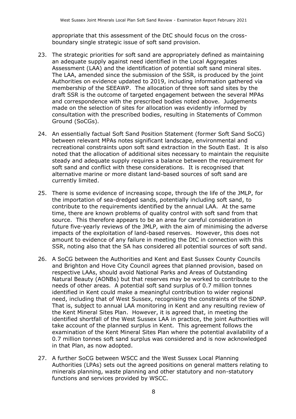appropriate that this assessment of the DtC should focus on the crossboundary single strategic issue of soft sand provision.

- 23. The strategic priorities for soft sand are appropriately defined as maintaining an adequate supply against need identified in the Local Aggregates Assessment (LAA) and the identification of potential soft sand mineral sites. The LAA, amended since the submission of the SSR, is produced by the joint Authorities on evidence updated to 2019, including information gathered via membership of the SEEAWP. The allocation of three soft sand sites by the draft SSR is the outcome of targeted engagement between the several MPAs and correspondence with the prescribed bodies noted above. Judgements made on the selection of sites for allocation was evidently informed by consultation with the prescribed bodies, resulting in Statements of Common Ground (SoCGs).
- 24. An essentially factual Soft Sand Position Statement (former Soft Sand SoCG) between relevant MPAs notes significant landscape, environmental and recreational constraints upon soft sand extraction in the South East. It is also noted that the allocation of additional sites necessary to maintain the requisite steady and adequate supply requires a balance between the requirement for soft sand and conflict with these considerations. It is recognised that alternative marine or more distant land-based sources of soft sand are currently limited.
- 25. There is some evidence of increasing scope, through the life of the JMLP, for the importation of sea-dredged sands, potentially including soft sand, to contribute to the requirements identified by the annual LAA. At the same time, there are known problems of quality control with soft sand from that source. This therefore appears to be an area for careful consideration in future five-yearly reviews of the JMLP, with the aim of minimising the adverse impacts of the exploitation of land-based reserves. However, this does not amount to evidence of any failure in meeting the DtC in connection with this SSR, noting also that the SA has considered all potential sources of soft sand.
- 26. A SoCG between the Authorities and Kent and East Sussex County Councils and Brighton and Hove City Council agrees that planned provision, based on respective LAAs, should avoid National Parks and Areas of Outstanding Natural Beauty (AONBs) but that reserves may be worked to contribute to the needs of other areas. A potential soft sand surplus of 0.7 million tonnes identified in Kent could make a meaningful contribution to wider regional need, including that of West Sussex, recognising the constraints of the SDNP. That is, subject to annual LAA monitoring in Kent and any resulting review of the Kent Mineral Sites Plan. However, it is agreed that, in meeting the identified shortfall of the West Sussex LAA in practice, the joint Authorities will take account of the planned surplus in Kent. This agreement follows the examination of the Kent Mineral Sites Plan where the potential availability of a 0.7 million tonnes soft sand surplus was considered and is now acknowledged in that Plan, as now adopted.
- 27. A further SoCG between WSCC and the West Sussex Local Planning Authorities (LPAs) sets out the agreed positions on general matters relating to minerals planning, waste planning and other statutory and non-statutory functions and services provided by WSCC.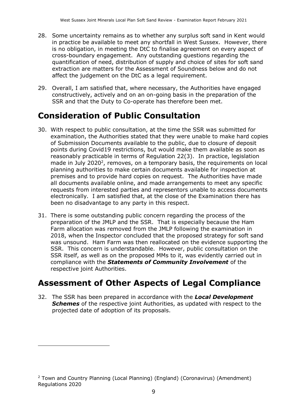- 28. Some uncertainty remains as to whether any surplus soft sand in Kent would in practice be available to meet any shortfall in West Sussex. However, there is no obligation, in meeting the DtC to finalise agreement on every aspect of cross-boundary engagement. Any outstanding questions regarding the quantification of need, distribution of supply and choice of sites for soft sand extraction are matters for the Assessment of Soundness below and do not affect the judgement on the DtC as a legal requirement.
- 29. Overall, I am satisfied that, where necessary, the Authorities have engaged constructively, actively and on an on-going basis in the preparation of the SSR and that the Duty to Co-operate has therefore been met.

# **Consideration of Public Consultation**

- 30. With respect to public consultation, at the time the SSR was submitted for examination, the Authorities stated that they were unable to make hard copies of Submission Documents available to the public, due to closure of deposit points during Covid19 restrictions, but would make them available as soon as reasonably practicable in terms of Regulation 22(3). In practice, legislation made in July 2020<sup>2</sup>, removes, on a temporary basis, the requirements on local planning authorities to make certain documents available for inspection at premises and to provide hard copies on request. The Authorities have made all documents available online, and made arrangements to meet any specific requests from interested parties and representors unable to access documents electronically. I am satisfied that, at the close of the Examination there has been no disadvantage to any party in this respect.
- 31. There is some outstanding public concern regarding the process of the preparation of the JMLP and the SSR. That is especially because the Ham Farm allocation was removed from the JMLP following the examination in 2018, when the Inspector concluded that the proposed strategy for soft sand was unsound. Ham Farm was then reallocated on the evidence supporting the SSR. This concern is understandable. However, public consultation on the SSR itself, as well as on the proposed MMs to it, was evidently carried out in compliance with the *Statements of Community Involvement* of the respective joint Authorities.

# **Assessment of Other Aspects of Legal Compliance**

32. The SSR has been prepared in accordance with the *Local Development*  **Schemes** of the respective joint Authorities, as updated with respect to the projected date of adoption of its proposals.

 $2$  Town and Country Planning (Local Planning) (England) (Coronavirus) (Amendment) Regulations 2020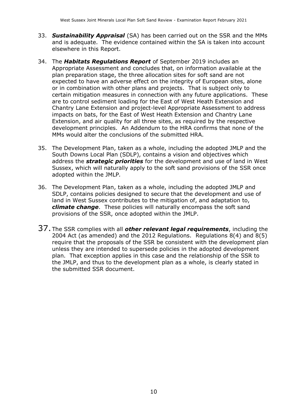- 33. *Sustainability Appraisal* (SA) has been carried out on the SSR and the MMs and is adequate. The evidence contained within the SA is taken into account elsewhere in this Report.
- 34. The *Habitats Regulations Report* of September 2019 includes an Appropriate Assessment and concludes that, on information available at the plan preparation stage, the three allocation sites for soft sand are not expected to have an adverse effect on the integrity of European sites, alone or in combination with other plans and projects. That is subject only to certain mitigation measures in connection with any future applications. These are to control sediment loading for the East of West Heath Extension and Chantry Lane Extension and project-level Appropriate Assessment to address impacts on bats, for the East of West Heath Extension and Chantry Lane Extension, and air quality for all three sites, as required by the respective development principles. An Addendum to the HRA confirms that none of the MMs would alter the conclusions of the submitted HRA.
- 35. The Development Plan, taken as a whole, including the adopted JMLP and the South Downs Local Plan (SDLP), contains a vision and objectives which address the *strategic priorities* for the development and use of land in West Sussex, which will naturally apply to the soft sand provisions of the SSR once adopted within the JMLP*.*
- 36. The Development Plan, taken as a whole, including the adopted JMLP and SDLP, contains policies designed to secure that the development and use of land in West Sussex contributes to the mitigation of, and adaptation to, *climate change*. These policies will naturally encompass the soft sand provisions of the SSR, once adopted within the JMLP.
- 37. The SSR complies with all *other relevant legal requirements*, including the 2004 Act (as amended) and the 2012 Regulations. Regulations 8(4) and 8(5) require that the proposals of the SSR be consistent with the development plan unless they are intended to supersede policies in the adopted development plan. That exception applies in this case and the relationship of the SSR to the JMLP, and thus to the development plan as a whole, is clearly stated in the submitted SSR document.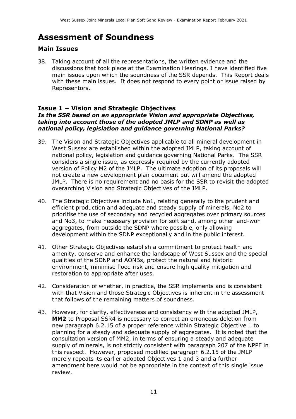# **Assessment of Soundness**

#### **Main Issues**

38. Taking account of all the representations, the written evidence and the discussions that took place at the Examination Hearings, I have identified five main issues upon which the soundness of the SSR depends. This Report deals with these main issues. It does not respond to every point or issue raised by Representors.

#### **Issue 1 – Vision and Strategic Objectives**

#### *Is the SSR based on an appropriate Vision and appropriate Objectives, taking into account those of the adopted JMLP and SDNP as well as national policy, legislation and guidance governing National Parks?*

- 39. The Vision and Strategic Objectives applicable to all mineral development in West Sussex are established within the adopted JMLP, taking account of national policy, legislation and guidance governing National Parks. The SSR considers a single issue, as expressly required by the currently adopted version of Policy M2 of the JMLP. The ultimate adoption of its proposals will not create a new development plan document but will amend the adopted JMLP. There is no requirement and no basis for the SSR to revisit the adopted overarching Vision and Strategic Objectives of the JMLP.
- 40. The Strategic Objectives include No1, relating generally to the prudent and efficient production and adequate and steady supply of minerals, No2 to prioritise the use of secondary and recycled aggregates over primary sources and No3, to make necessary provision for soft sand, among other land-won aggregates, from outside the SDNP where possible, only allowing development within the SDNP exceptionally and in the public interest.
- 41. Other Strategic Objectives establish a commitment to protect health and amenity, conserve and enhance the landscape of West Sussex and the special qualities of the SDNP and AONBs, protect the natural and historic environment, minimise flood risk and ensure high quality mitigation and restoration to appropriate after uses.
- 42. Consideration of whether, in practice, the SSR implements and is consistent with that Vision and those Strategic Objectives is inherent in the assessment that follows of the remaining matters of soundness.
- 43. However, for clarity, effectiveness and consistency with the adopted JMLP, **MM2** to Proposal SSR4 is necessary to correct an erroneous deletion from new paragraph 6.2.15 of a proper reference within Strategic Objective 1 to planning for a steady and adequate supply of aggregates. It is noted that the consultation version of MM2, in terms of ensuring a steady and adequate supply of minerals, is not strictly consistent with paragraph 207 of the NPPF in this respect. However, proposed modified paragraph 6.2.15 of the JMLP merely repeats its earlier adopted Objectives 1 and 3 and a further amendment here would not be appropriate in the context of this single issue review.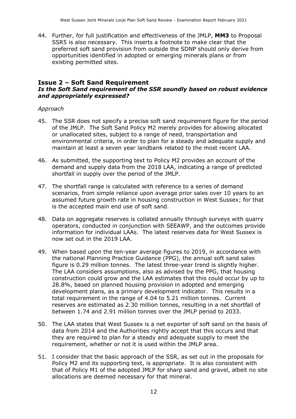44. Further, for full justification and effectiveness of the JMLP, **MM3** to Proposal SSR5 is also necessary. This inserts a footnote to make clear that the preferred soft sand provision from outside the SDNP should only derive from opportunities identified in adopted or emerging minerals plans or from existing permitted sites.

#### **Issue 2 – Soft Sand Requirement** *Is the Soft Sand requirement of the SSR soundly based on robust evidence and appropriately expressed?*

#### *Approach*

- 45. The SSR does not specify a precise soft sand requirement figure for the period of the JMLP. The Soft Sand Policy M2 merely provides for allowing allocated or unallocated sites, subject to a range of need, transportation and environmental criteria, in order to plan for a steady and adequate supply and maintain at least a seven year landbank related to the most recent LAA.
- 46. As submitted, the supporting text to Policy M2 provides an account of the demand and supply data from the 2018 LAA, indicating a range of predicted shortfall in supply over the period of the JMLP.
- 47. The shortfall range is calculated with reference to a series of demand scenarios, from simple reliance upon average prior sales over 10 years to an assumed future growth rate in housing construction in West Sussex; for that is the accepted main end use of soft sand.
- 48. Data on aggregate reserves is collated annually through surveys with quarry operators, conducted in conjunction with SEEAWP, and the outcomes provide information for individual LAAs. The latest reserves data for West Sussex is now set out in the 2019 LAA.
- 49. When based upon the ten-year average figures to 2019, in accordance with the national Planning Practice Guidance (PPG), the annual soft sand sales figure is 0.29 million tonnes. The latest three-year trend is slightly higher. The LAA considers assumptions, also as advised by the PPG, that housing construction could grow and the LAA estimates that this could occur by up to 28.8%, based on planned housing provision in adopted and emerging development plans, as a primary development indicator. This results in a total requirement in the range of 4.04 to 5.21 million tonnes. Current reserves are estimated as 2.30 million tonnes, resulting in a net shortfall of between 1.74 and 2.91 million tonnes over the JMLP period to 2033.
- 50. The LAA states that West Sussex is a net exporter of soft sand on the basis of data from 2014 and the Authorities rightly accept that this occurs and that they are required to plan for a steady and adequate supply to meet the requirement, whether or not it is used within the JMLP area.
- 51. I consider that the basic approach of the SSR, as set out in the proposals for Policy M2 and its supporting text, is appropriate. It is also consistent with that of Policy M1 of the adopted JMLP for sharp sand and gravel, albeit no site allocations are deemed necessary for that mineral.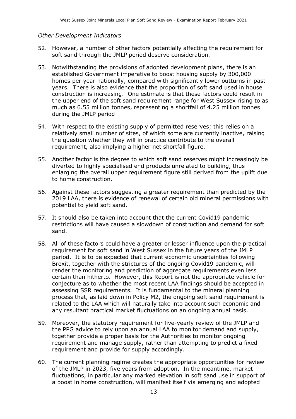#### *Other Development Indicators*

- 52. However, a number of other factors potentially affecting the requirement for soft sand through the JMLP period deserve consideration.
- 53. Notwithstanding the provisions of adopted development plans, there is an established Government imperative to boost housing supply by 300,000 homes per year nationally, compared with significantly lower outturns in past years. There is also evidence that the proportion of soft sand used in house construction is increasing. One estimate is that these factors could result in the upper end of the soft sand requirement range for West Sussex rising to as much as 6.55 million tonnes, representing a shortfall of 4.25 million tonnes during the JMLP period
- 54. With respect to the existing supply of permitted reserves; this relies on a relatively small number of sites, of which some are currently inactive, raising the question whether they will in practice contribute to the overall requirement, also implying a higher net shortfall figure.
- 55. Another factor is the degree to which soft sand reserves might increasingly be diverted to highly specialised end products unrelated to building, thus enlarging the overall upper requirement figure still derived from the uplift due to home construction.
- 56. Against these factors suggesting a greater requirement than predicted by the 2019 LAA, there is evidence of renewal of certain old mineral permissions with potential to yield soft sand.
- 57. It should also be taken into account that the current Covid19 pandemic restrictions will have caused a slowdown of construction and demand for soft sand.
- 58. All of these factors could have a greater or lesser influence upon the practical requirement for soft sand in West Sussex in the future years of the JMLP period. It is to be expected that current economic uncertainties following Brexit, together with the strictures of the ongoing Covid19 pandemic, will render the monitoring and prediction of aggregate requirements even less certain than hitherto. However, this Report is not the appropriate vehicle for conjecture as to whether the most recent LAA findings should be accepted in assessing SSR requirements. It is fundamental to the mineral planning process that, as laid down in Policy M2, the ongoing soft sand requirement is related to the LAA which will naturally take into account such economic and any resultant practical market fluctuations on an ongoing annual basis.
- 59. Moreover, the statutory requirement for five-yearly review of the JMLP and the PPG advice to rely upon an annual LAA to monitor demand and supply, together provide a proper basis for the Authorities to monitor ongoing requirement and manage supply, rather than attempting to predict a fixed requirement and provide for supply accordingly.
- 60. The current planning regime creates the appropriate opportunities for review of the JMLP in 2023, five years from adoption. In the meantime, market fluctuations, in particular any marked elevation in soft sand use in support of a boost in home construction, will manifest itself via emerging and adopted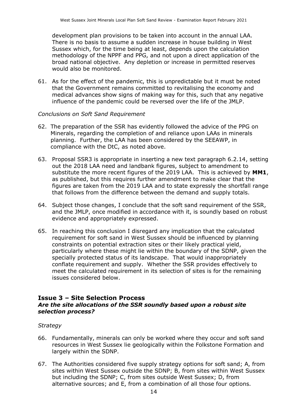development plan provisions to be taken into account in the annual LAA. There is no basis to assume a sudden increase in house building in West Sussex which, for the time being at least, depends upon the calculation methodology of the NPPF and PPG, and not upon a direct application of the broad national objective. Any depletion or increase in permitted reserves would also be monitored.

61. As for the effect of the pandemic, this is unpredictable but it must be noted that the Government remains committed to revitalising the economy and medical advances show signs of making way for this, such that any negative influence of the pandemic could be reversed over the life of the JMLP.

#### *Conclusions on Soft Sand Requirement*

- 62. The preparation of the SSR has evidently followed the advice of the PPG on Minerals, regarding the completion of and reliance upon LAAs in minerals planning. Further, the LAA has been considered by the SEEAWP, in compliance with the DtC, as noted above.
- 63. Proposal SSR3 is appropriate in inserting a new text paragraph 6.2.14, setting out the 2018 LAA need and landbank figures, subject to amendment to substitute the more recent figures of the 2019 LAA. This is achieved by **MM1**, as published, but this requires further amendment to make clear that the figures are taken from the 2019 LAA and to state expressly the shortfall range that follows from the difference between the demand and supply totals.
- 64. Subject those changes, I conclude that the soft sand requirement of the SSR, and the JMLP, once modified in accordance with it, is soundly based on robust evidence and appropriately expressed.
- 65. In reaching this conclusion I disregard any implication that the calculated requirement for soft sand in West Sussex should be influenced by planning constraints on potential extraction sites or their likely practical yield, particularly where these might lie within the boundary of the SDNP, given the specially protected status of its landscape. That would inappropriately conflate requirement and supply. Whether the SSR provides effectively to meet the calculated requirement in its selection of sites is for the remaining issues considered below.

#### **Issue 3 – Site Selection Process**

#### *Are the site allocations of the SSR soundly based upon a robust site selection process?*

#### *Strategy*

- 66. Fundamentally, minerals can only be worked where they occur and soft sand resources in West Sussex lie geologically within the Folkstone Formation and largely within the SDNP.
- 67. The Authorities considered five supply strategy options for soft sand; A, from sites within West Sussex outside the SDNP; B, from sites within West Sussex but including the SDNP; C, from sites outside West Sussex; D, from alternative sources; and E, from a combination of all those four options.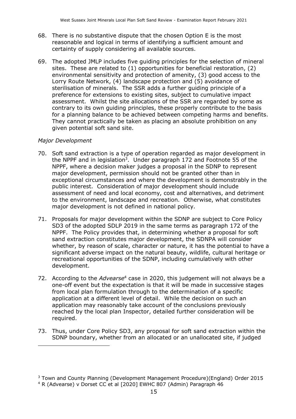- 68. There is no substantive dispute that the chosen Option E is the most reasonable and logical in terms of identifying a sufficient amount and certainty of supply considering all available sources.
- 69. The adopted JMLP includes five guiding principles for the selection of mineral sites. These are related to (1) opportunities for beneficial restoration, (2) environmental sensitivity and protection of amenity, (3) good access to the Lorry Route Network, (4) landscape protection and (5) avoidance of sterilisation of minerals. The SSR adds a further guiding principle of a preference for extensions to existing sites, subject to cumulative impact assessment. Whilst the site allocations of the SSR are regarded by some as contrary to its own guiding principles, these properly contribute to the basis for a planning balance to be achieved between competing harms and benefits. They cannot practically be taken as placing an absolute prohibition on any given potential soft sand site.

#### *Major Development*

- 70. Soft sand extraction is a type of operation regarded as major development in the NPPF and in legislation<sup>3</sup>. Under paragraph 172 and Footnote 55 of the NPPF, where a decision maker judges a proposal in the SDNP to represent major development, permission should not be granted other than in exceptional circumstances and where the development is demonstrably in the public interest. Consideration of major development should include assessment of need and local economy, cost and alternatives, and detriment to the environment, landscape and recreation. Otherwise, what constitutes major development is not defined in national policy.
- 71. Proposals for major development within the SDNP are subject to Core Policy SD3 of the adopted SDLP 2019 in the same terms as paragraph 172 of the NPPF. The Policy provides that, in determining whether a proposal for soft sand extraction constitutes major development, the SDNPA will consider whether, by reason of scale, character or nature, it has the potential to have a significant adverse impact on the natural beauty, wildlife, cultural heritage or recreational opportunities of the SDNP, including cumulatively with other development.
- 72. According to the *Advearse*<sup>4</sup> case in 2020, this judgement will not always be a one-off event but the expectation is that it will be made in successive stages from local plan formulation through to the determination of a specific application at a different level of detail. While the decision on such an application may reasonably take account of the conclusions previously reached by the local plan Inspector, detailed further consideration will be required.
- 73. Thus, under Core Policy SD3, any proposal for soft sand extraction within the SDNP boundary, whether from an allocated or an unallocated site, if judged

<sup>3</sup> Town and County Planning (Development Management Procedure)(England) Order 2015

<sup>&</sup>lt;sup>4</sup> R (Advearse) v Dorset CC et al [2020] EWHC 807 (Admin) Paragraph 46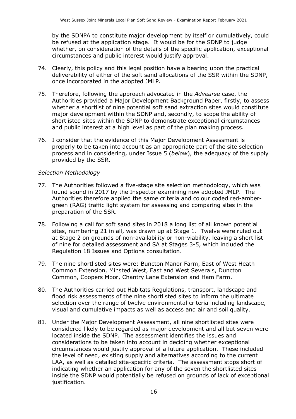by the SDNPA to constitute major development by itself or cumulatively, could be refused at the application stage. It would be for the SDNP to judge whether, on consideration of the details of the specific application, exceptional circumstances and public interest would justify approval.

- 74. Clearly, this policy and this legal position have a bearing upon the practical deliverability of either of the soft sand allocations of the SSR within the SDNP, once incorporated in the adopted JMLP.
- 75. Therefore, following the approach advocated in the *Advearse* case, the Authorities provided a Major Development Background Paper, firstly, to assess whether a shortlist of nine potential soft sand extraction sites would constitute major development within the SDNP and, secondly, to scope the ability of shortlisted sites within the SDNP to demonstrate exceptional circumstances and public interest at a high level as part of the plan making process.
- 76. I consider that the evidence of this Major Development Assessment is properly to be taken into account as an appropriate part of the site selection process and in considering, under Issue 5 (*below*), the adequacy of the supply provided by the SSR.

#### *Selection Methodology*

- 77. The Authorities followed a five-stage site selection methodology, which was found sound in 2017 by the Inspector examining now adopted JMLP. The Authorities therefore applied the same criteria and colour coded red-ambergreen (RAG) traffic light system for assessing and comparing sites in the preparation of the SSR.
- 78. Following a call for soft sand sites in 2018 a long list of all known potential sites, numbering 21 in all, was drawn up at Stage 1. Twelve were ruled out at Stage 2 on grounds of non-availability or non-viability, leaving a short list of nine for detailed assessment and SA at Stages 3-5, which included the Regulation 18 Issues and Options consultation.
- 79. The nine shortlisted sites were: Buncton Manor Farm, East of West Heath Common Extension, Minsted West, East and West Severals, Duncton Common, Coopers Moor, Chantry Lane Extension and Ham Farm.
- 80. The Authorities carried out Habitats Regulations, transport, landscape and flood risk assessments of the nine shortlisted sites to inform the ultimate selection over the range of twelve environmental criteria including landscape, visual and cumulative impacts as well as access and air and soil quality.
- 81. Under the Major Development Assessment, all nine shortlisted sites were considered likely to be regarded as major development and all but seven were located inside the SDNP. The assessment identifies the issues and considerations to be taken into account in deciding whether exceptional circumstances would justify approval of a future application. These included the level of need, existing supply and alternatives according to the current LAA, as well as detailed site-specific criteria. The assessment stops short of indicating whether an application for any of the seven the shortlisted sites inside the SDNP would potentially be refused on grounds of lack of exceptional justification.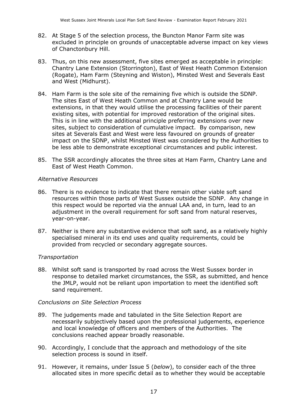- 82. At Stage 5 of the selection process, the Buncton Manor Farm site was excluded in principle on grounds of unacceptable adverse impact on key views of Chanctonbury Hill.
- 83. Thus, on this new assessment, five sites emerged as acceptable in principle: Chantry Lane Extension (Storrington), East of West Heath Common Extension (Rogate), Ham Farm (Steyning and Wiston), Minsted West and Severals East and West (Midhurst).
- 84. Ham Farm is the sole site of the remaining five which is outside the SDNP. The sites East of West Heath Common and at Chantry Lane would be extensions, in that they would utilise the processing facilities of their parent existing sites, with potential for improved restoration of the original sites. This is in line with the additional principle preferring extensions over new sites, subject to consideration of cumulative impact. By comparison, new sites at Severals East and West were less favoured on grounds of greater impact on the SDNP, whilst Minsted West was considered by the Authorities to be less able to demonstrate exceptional circumstances and public interest.
- 85. The SSR accordingly allocates the three sites at Ham Farm, Chantry Lane and East of West Heath Common.

#### *Alternative Resources*

- 86. There is no evidence to indicate that there remain other viable soft sand resources within those parts of West Sussex outside the SDNP. Any change in this respect would be reported via the annual LAA and, in turn, lead to an adjustment in the overall requirement for soft sand from natural reserves, year-on-year.
- 87. Neither is there any substantive evidence that soft sand, as a relatively highly specialised mineral in its end uses and quality requirements, could be provided from recycled or secondary aggregate sources.

#### *Transportation*

88. Whilst soft sand is transported by road across the West Sussex border in response to detailed market circumstances, the SSR, as submitted, and hence the JMLP, would not be reliant upon importation to meet the identified soft sand requirement.

#### *Conclusions on Site Selection Process*

- 89. The judgements made and tabulated in the Site Selection Report are necessarily subjectively based upon the professional judgements, experience and local knowledge of officers and members of the Authorities. The conclusions reached appear broadly reasonable.
- 90. Accordingly, I conclude that the approach and methodology of the site selection process is sound in itself.
- 91. However, it remains, under Issue 5 (*below*), to consider each of the three allocated sites in more specific detail as to whether they would be acceptable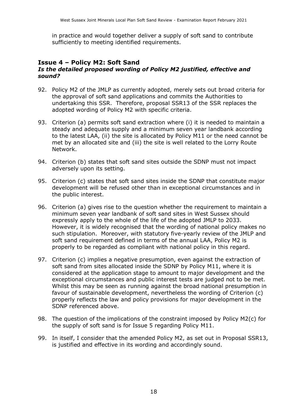in practice and would together deliver a supply of soft sand to contribute sufficiently to meeting identified requirements.

#### **Issue 4 – Policy M2: Soft Sand**

#### *Is the detailed proposed wording of Policy M2 justified, effective and sound?*

- 92. Policy M2 of the JMLP as currently adopted, merely sets out broad criteria for the approval of soft sand applications and commits the Authorities to undertaking this SSR. Therefore, proposal SSR13 of the SSR replaces the adopted wording of Policy M2 with specific criteria.
- 93. Criterion (a) permits soft sand extraction where (i) it is needed to maintain a steady and adequate supply and a minimum seven year landbank according to the latest LAA, (ii) the site is allocated by Policy M11 or the need cannot be met by an allocated site and (iii) the site is well related to the Lorry Route Network.
- 94. Criterion (b) states that soft sand sites outside the SDNP must not impact adversely upon its setting.
- 95. Criterion (c) states that soft sand sites inside the SDNP that constitute major development will be refused other than in exceptional circumstances and in the public interest.
- 96. Criterion (a) gives rise to the question whether the requirement to maintain a minimum seven year landbank of soft sand sites in West Sussex should expressly apply to the whole of the life of the adopted JMLP to 2033. However, it is widely recognised that the wording of national policy makes no such stipulation. Moreover, with statutory five-yearly review of the JMLP and soft sand requirement defined in terms of the annual LAA, Policy M2 is properly to be regarded as compliant with national policy in this regard.
- 97. Criterion (c) implies a negative presumption, even against the extraction of soft sand from sites allocated inside the SDNP by Policy M11, where it is considered at the application stage to amount to major development and the exceptional circumstances and public interest tests are judged not to be met. Whilst this may be seen as running against the broad national presumption in favour of sustainable development, nevertheless the wording of Criterion (c) properly reflects the law and policy provisions for major development in the SDNP referenced above.
- 98. The question of the implications of the constraint imposed by Policy M2(c) for the supply of soft sand is for Issue 5 regarding Policy M11.
- 99. In itself, I consider that the amended Policy M2, as set out in Proposal SSR13, is justified and effective in its wording and accordingly sound.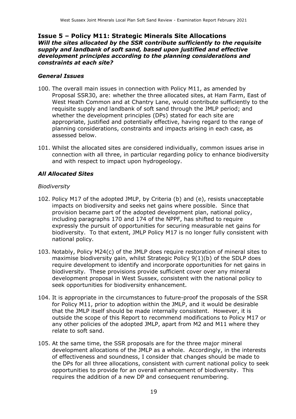#### **Issue 5 – Policy M11: Strategic Minerals Site Allocations** *Will the sites allocated by the SSR contribute sufficiently to the requisite supply and landbank of soft sand, based upon justified and effective development principles according to the planning considerations and constraints at each site?*

#### *General Issues*

- 100. The overall main issues in connection with Policy M11, as amended by Proposal SSR30, are: whether the three allocated sites, at Ham Farm, East of West Heath Common and at Chantry Lane, would contribute sufficiently to the requisite supply and landbank of soft sand through the JMLP period; and whether the development principles (DPs) stated for each site are appropriate, justified and potentially effective, having regard to the range of planning considerations, constraints and impacts arising in each case, as assessed below.
- 101. Whilst the allocated sites are considered individually, common issues arise in connection with all three, in particular regarding policy to enhance biodiversity and with respect to impact upon hydrogeology.

#### *All Allocated Sites*

#### *Biodiversity*

- 102. Policy M17 of the adopted JMLP, by Criteria (b) and (e), resists unacceptable impacts on biodiversity and seeks net gains where possible. Since that provision became part of the adopted development plan, national policy, including paragraphs 170 and 174 of the NPPF, has shifted to require expressly the pursuit of opportunities for securing measurable net gains for biodiversity. To that extent, JMLP Policy M17 is no longer fully consistent with national policy.
- 103. Notably, Policy M24(c) of the JMLP does require restoration of mineral sites to maximise biodiversity gain, whilst Strategic Policy 9(1)(b) of the SDLP does require development to identify and incorporate opportunities for net gains in biodiversity. These provisions provide sufficient cover over any mineral development proposal in West Sussex, consistent with the national policy to seek opportunities for biodiversity enhancement.
- 104. It is appropriate in the circumstances to future-proof the proposals of the SSR for Policy M11, prior to adoption within the JMLP, and it would be desirable that the JMLP itself should be made internally consistent. However, it is outside the scope of this Report to recommend modifications to Policy M17 or any other policies of the adopted JMLP, apart from M2 and M11 where they relate to soft sand.
- 105. At the same time, the SSR proposals are for the three major mineral development allocations of the JMLP as a whole. Accordingly, in the interests of effectiveness and soundness, I consider that changes should be made to the DPs for all three allocations, consistent with current national policy to seek opportunities to provide for an overall enhancement of biodiversity. This requires the addition of a new DP and consequent renumbering.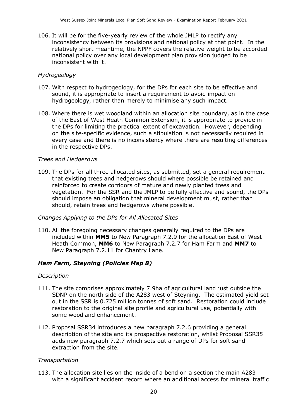106. It will be for the five-yearly review of the whole JMLP to rectify any inconsistency between its provisions and national policy at that point. In the relatively short meantime, the NPPF covers the relative weight to be accorded national policy over any local development plan provision judged to be inconsistent with it.

#### *Hydrogeology*

- 107. With respect to hydrogeology, for the DPs for each site to be effective and sound, it is appropriate to insert a requirement to avoid impact on hydrogeology, rather than merely to minimise any such impact.
- 108. Where there is wet woodland within an allocation site boundary, as in the case of the East of West Heath Common Extension, it is appropriate to provide in the DPs for limiting the practical extent of excavation. However, depending on the site-specific evidence, such a stipulation is not necessarily required in every case and there is no inconsistency where there are resulting differences in the respective DPs.

#### *Trees and Hedgerows*

109. The DPs for all three allocated sites, as submitted, set a general requirement that existing trees and hedgerows should where possible be retained and reinforced to create corridors of mature and newly planted trees and vegetation. For the SSR and the JMLP to be fully effective and sound, the DPs should impose an obligation that mineral development must, rather than should, retain trees and hedgerows where possible.

#### *Changes Applying to the DPs for All Allocated Sites*

110. All the foregoing necessary changes generally required to the DPs are included within **MM5** to New Paragraph 7.2.9 for the allocation East of West Heath Common, **MM6** to New Paragraph 7.2.7 for Ham Farm and **MM7** to New Paragraph 7.2.11 for Chantry Lane.

#### *Ham Farm, Steyning (Policies Map 8)*

#### *Description*

- 111. The site comprises approximately 7.9ha of agricultural land just outside the SDNP on the north side of the A283 west of Steyning. The estimated yield set out in the SSR is 0.725 million tonnes of soft sand. Restoration could include restoration to the original site profile and agricultural use, potentially with some woodland enhancement.
- 112. Proposal SSR34 introduces a new paragraph 7.2.6 providing a general description of the site and its prospective restoration, whilst Proposal SSR35 adds new paragraph 7.2.7 which sets out a range of DPs for soft sand extraction from the site.

#### *Transportation*

113. The allocation site lies on the inside of a bend on a section the main A283 with a significant accident record where an additional access for mineral traffic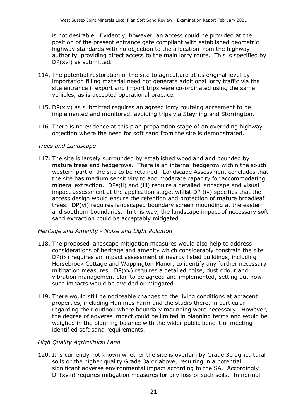is not desirable. Evidently, however, an access could be provided at the position of the present entrance gate compliant with established geometric highway standards with no objection to the allocation from the highway authority, providing direct access to the main lorry route. This is specified by DP(xvi) as submitted.

- 114. The potential restoration of the site to agriculture at its original level by importation filling material need not generate additional lorry traffic via the site entrance if export and import trips were co-ordinated using the same vehicles, as is accepted operational practice.
- 115. DP(xiv) as submitted requires an agreed lorry routeing agreement to be implemented and monitored, avoiding trips via Steyning and Storrington.
- 116. There is no evidence at this plan preparation stage of an overriding highway objection where the need for soft sand from the site is demonstrated.

#### *Trees and Landscape*

117. The site is largely surrounded by established woodland and bounded by mature trees and hedgerows. There is an internal hedgerow within the south western part of the site to be retained. Landscape Assessment concludes that the site has medium sensitivity to and moderate capacity for accommodating mineral extraction. DPs(ii) and (iii) require a detailed landscape and visual impact assessment at the application stage, whilst DP (iv) specifies that the access design would ensure the retention and protection of mature broadleaf trees. DP(vi) requires landscaped boundary screen mounding at the eastern and southern boundaries. In this way, the landscape impact of necessary soft sand extraction could be acceptably mitigated.

#### *Heritage and Amenity - Noise and Light Pollution*

- 118. The proposed landscape mitigation measures would also help to address considerations of heritage and amenity which considerably constrain the site. DP(ix) requires an impact assessment of nearby listed buildings, including Horsebrook Cottage and Wappington Manor, to identify any further necessary mitigation measures. DP(xx) requires a detailed noise, dust odour and vibration management plan to be agreed and implemented, setting out how such impacts would be avoided or mitigated.
- 119. There would still be noticeable changes to the living conditions at adjacent properties, including Hammes Farm and the studio there, in particular regarding their outlook where boundary mounding were necessary. However, the degree of adverse impact could be limited in planning terms and would be weighed in the planning balance with the wider public benefit of meeting identified soft sand requirements.

#### *High Quality Agricultural Land*

120. It is currently not known whether the site is overlain by Grade 3b agricultural soils or the higher quality Grade 3a or above, resulting in a potential significant adverse environmental impact according to the SA. Accordingly DP(xviii) requires mitigation measures for any loss of such soils. In normal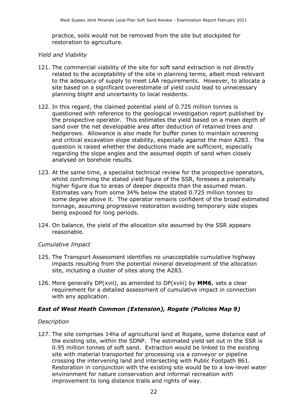practice, soils would not be removed from the site but stockpiled for restoration to agriculture.

#### *Yield and Viability*

- 121. The commercial viability of the site for soft sand extraction is not directly related to the acceptability of the site in planning terms, albeit most relevant to the adequacy of supply to meet LAA requirements. However, to allocate a site based on a significant overestimate of yield could lead to unnecessary planning blight and uncertainty to local residents.
- 122. In this regard, the claimed potential yield of 0.725 million tonnes is questioned with reference to the geological investigation report published by the prospective operator. This estimates the yield based on a mean depth of sand over the net developable area after deduction of retained trees and hedgerows. Allowance is also made for buffer zones to maintain screening and critical excavation slope stability, especially against the main A283. The question is raised whether the deductions made are sufficient, especially regarding the slope angles and the assumed depth of sand when closely analysed on borehole results.
- 123. At the same time, a specialist technical review for the prospective operators, whilst confirming the stated yield figure of the SSR, foresees a potentially higher figure due to areas of deeper deposits than the assumed mean. Estimates vary from some 34% below the stated 0.725 million tonnes to some degree above it. The operator remains confident of the broad estimated tonnage, assuming progressive restoration avoiding temporary side slopes being exposed for long periods.
- 124. On balance, the yield of the allocation site assumed by the SSR appears reasonable.

#### *Cumulative Impact*

- 125. The Transport Assessment identifies no unacceptable cumulative highway impacts resulting from the potential mineral development of the allocation site, including a cluster of sites along the A283.
- 126. More generally DP(xvii), as amended to DP(xviii) by **MM6**, sets a clear requirement for a detailed assessment of cumulative impact in connection with any application.

#### *East of West Heath Common (Extension), Rogate (Policies Map 9)*

#### *Description*

127. The site comprises 14ha of agricultural land at Rogate, some distance east of the existing site, within the SDNP. The estimated yield set out in the SSR is 0.95 million tonnes of soft sand. Extraction would be linked to the existing site with material transported for processing via a conveyor or pipeline crossing the intervening land and intersecting with Public Footpath 861. Restoration in conjunction with the existing site would be to a low-level water environment for nature conservation and informal recreation with improvement to long distance trails and rights of way.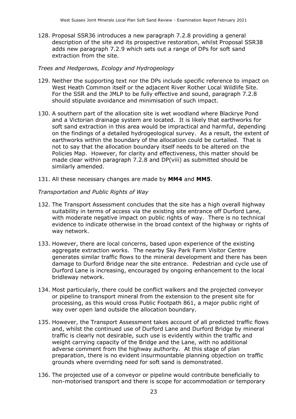128. Proposal SSR36 introduces a new paragraph 7.2.8 providing a general description of the site and its prospective restoration, whilst Proposal SSR38 adds new paragraph 7.2.9 which sets out a range of DPs for soft sand extraction from the site.

#### *Trees and Hedgerows, Ecology and Hydrogeology*

- 129. Neither the supporting text nor the DPs include specific reference to impact on West Heath Common itself or the adjacent River Rother Local Wildlife Site. For the SSR and the JMLP to be fully effective and sound, paragraph 7.2.8 should stipulate avoidance and minimisation of such impact.
- 130. A southern part of the allocation site is wet woodland where Blackrye Pond and a Victorian drainage system are located. It is likely that earthworks for soft sand extraction in this area would be impractical and harmful, depending on the findings of a detailed hydrogeological survey. As a result, the extent of earthworks within the boundary of the allocation could be curtailed. That is not to say that the allocation boundary itself needs to be altered on the Policies Map. However, for clarity and effectiveness, this matter should be made clear within paragraph 7.2.8 and DP(viii) as submitted should be similarly amended.
- 131. All these necessary changes are made by **MM4** and **MM5**.

#### *Transportation and Public Rights of Way*

- 132. The Transport Assessment concludes that the site has a high overall highway suitability in terms of access via the existing site entrance off Durford Lane, with moderate negative impact on public rights of way. There is no technical evidence to indicate otherwise in the broad context of the highway or rights of way network.
- 133. However, there are local concerns, based upon experience of the existing aggregate extraction works. The nearby Sky Park Farm Visitor Centre generates similar traffic flows to the mineral development and there has been damage to Durford Bridge near the site entrance. Pedestrian and cycle use of Durford Lane is increasing, encouraged by ongoing enhancement to the local bridleway network.
- 134. Most particularly, there could be conflict walkers and the projected conveyor or pipeline to transport mineral from the extension to the present site for processing, as this would cross Public Footpath 861, a major public right of way over open land outside the allocation boundary.
- 135. However, the Transport Assessment takes account of all predicted traffic flows and, whilst the continued use of Durford Lane and Durford Bridge by mineral traffic is clearly not desirable, such use is evidently within the traffic and weight carrying capacity of the Bridge and the Lane, with no additional adverse comment from the highway authority. At this stage of plan preparation, there is no evident insurmountable planning objection on traffic grounds where overriding need for soft sand is demonstrated.
- 136. The projected use of a conveyor or pipeline would contribute beneficially to non-motorised transport and there is scope for accommodation or temporary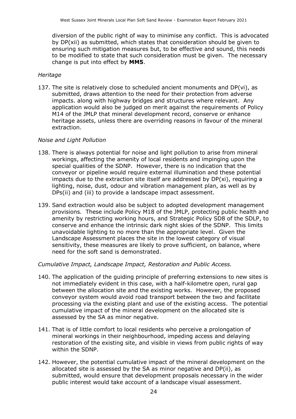diversion of the public right of way to minimise any conflict. This is advocated by DP(xii) as submitted, which states that consideration should be given to ensuring such mitigation measures but, to be effective and sound, this needs to be modified to state that such consideration must be given. The necessary change is put into effect by **MM5**.

#### *Heritage*

137. The site is relatively close to scheduled ancient monuments and DP(vi), as submitted, draws attention to the need for their protection from adverse impacts. along with highway bridges and structures where relevant. Any application would also be judged on merit against the requirements of Policy M14 of the JMLP that mineral development record, conserve or enhance heritage assets, unless there are overriding reasons in favour of the mineral extraction.

#### *Noise and Light Pollution*

- 138. There is always potential for noise and light pollution to arise from mineral workings, affecting the amenity of local residents and impinging upon the special qualities of the SDNP. However, there is no indication that the conveyor or pipeline would require external illumination and these potential impacts due to the extraction site itself are addressed by  $DP(xi)$ , requiring a lighting, noise, dust, odour and vibration management plan, as well as by DPs(ii) and (iii) to provide a landscape impact assessment.
- 139. Sand extraction would also be subject to adopted development management provisions. These include Policy M18 of the JMLP, protecting public health and amenity by restricting working hours, and Strategic Policy SD8 of the SDLP, to conserve and enhance the intrinsic dark night skies of the SDNP. This limits unavoidable lighting to no more than the appropriate level. Given the Landscape Assessment places the site in the lowest category of visual sensitivity, these measures are likely to prove sufficient, on balance, where need for the soft sand is demonstrated.

*Cumulative Impact, Landscape Impact, Restoration and Public Access.*

- 140. The application of the guiding principle of preferring extensions to new sites is not immediately evident in this case, with a half-kilometre open, rural gap between the allocation site and the existing works. However, the proposed conveyor system would avoid road transport between the two and facilitate processing via the existing plant and use of the existing access. The potential cumulative impact of the mineral development on the allocated site is assessed by the SA as minor negative.
- 141. That is of little comfort to local residents who perceive a prolongation of mineral workings in their neighbourhood, impeding access and delaying restoration of the existing site, and visible in views from public rights of way within the SDNP.
- 142. However, the potential cumulative impact of the mineral development on the allocated site is assessed by the SA as minor negative and DP(ii), as submitted, would ensure that development proposals necessary in the wider public interest would take account of a landscape visual assessment.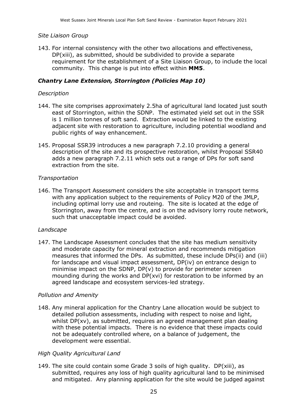#### *Site Liaison Group*

143. For internal consistency with the other two allocations and effectiveness, DP(xiii), as submitted, should be subdivided to provide a separate requirement for the establishment of a Site Liaison Group, to include the local community. This change is put into effect within **MM5**.

#### *Chantry Lane Extension, Storrington (Policies Map 10)*

#### *Description*

- 144. The site comprises approximately 2.5ha of agricultural land located just south east of Storrington, within the SDNP. The estimated yield set out in the SSR is 1 million tonnes of soft sand. Extraction would be linked to the existing adjacent site with restoration to agriculture, including potential woodland and public rights of way enhancement.
- 145. Proposal SSR39 introduces a new paragraph 7.2.10 providing a general description of the site and its prospective restoration, whilst Proposal SSR40 adds a new paragraph 7.2.11 which sets out a range of DPs for soft sand extraction from the site.

#### *Transportation*

146. The Transport Assessment considers the site acceptable in transport terms with any application subject to the requirements of Policy M20 of the JMLP, including optimal lorry use and routeing. The site is located at the edge of Storrington, away from the centre, and is on the advisory lorry route network, such that unacceptable impact could be avoided.

#### *Landscape*

147. The Landscape Assessment concludes that the site has medium sensitivity and moderate capacity for mineral extraction and recommends mitigation measures that informed the DPs. As submitted, these include DPs(ii) and (iii) for landscape and visual impact assessment, DP(iv) on entrance design to minimise impact on the SDNP,  $DP(v)$  to provide for perimeter screen mounding during the works and DP(xvi) for restoration to be informed by an agreed landscape and ecosystem services-led strategy.

#### *Pollution and Amenity*

148. Any mineral application for the Chantry Lane allocation would be subject to detailed pollution assessments, including with respect to noise and light, whilst DP(xv), as submitted, requires an agreed management plan dealing with these potential impacts. There is no evidence that these impacts could not be adequately controlled where, on a balance of judgement, the development were essential.

#### *High Quality Agricultural Land*

149. The site could contain some Grade 3 soils of high quality. DP(xiii), as submitted, requires any loss of high quality agricultural land to be minimised and mitigated. Any planning application for the site would be judged against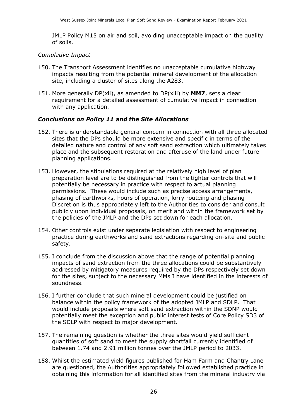JMLP Policy M15 on air and soil, avoiding unacceptable impact on the quality of soils.

#### *Cumulative Impact*

- 150. The Transport Assessment identifies no unacceptable cumulative highway impacts resulting from the potential mineral development of the allocation site, including a cluster of sites along the A283.
- 151. More generally DP(xii), as amended to DP(xiii) by **MM7**, sets a clear requirement for a detailed assessment of cumulative impact in connection with any application.

#### *Conclusions on Policy 11 and the Site Allocations*

- 152. There is understandable general concern in connection with all three allocated sites that the DPs should be more extensive and specific in terms of the detailed nature and control of any soft sand extraction which ultimately takes place and the subsequent restoration and afteruse of the land under future planning applications.
- 153. However, the stipulations required at the relatively high level of plan preparation level are to be distinguished from the tighter controls that will potentially be necessary in practice with respect to actual planning permissions. These would include such as precise access arrangements, phasing of earthworks, hours of operation, lorry routeing and phasing Discretion is thus appropriately left to the Authorities to consider and consult publicly upon individual proposals, on merit and within the framework set by the policies of the JMLP and the DPs set down for each allocation.
- 154. Other controls exist under separate legislation with respect to engineering practice during earthworks and sand extractions regarding on-site and public safety.
- 155. I conclude from the discussion above that the range of potential planning impacts of sand extraction from the three allocations could be substantively addressed by mitigatory measures required by the DPs respectively set down for the sites, subject to the necessary MMs I have identified in the interests of soundness.
- 156. I further conclude that such mineral development could be justified on balance within the policy framework of the adopted JMLP and SDLP. That would include proposals where soft sand extraction within the SDNP would potentially meet the exception and public interest tests of Core Policy SD3 of the SDLP with respect to major development.
- 157. The remaining question is whether the three sites would yield sufficient quantities of soft sand to meet the supply shortfall currently identified of between 1.74 and 2.91 million tonnes over the JMLP period to 2033.
- 158. Whilst the estimated yield figures published for Ham Farm and Chantry Lane are questioned, the Authorities appropriately followed established practice in obtaining this information for all identified sites from the mineral industry via